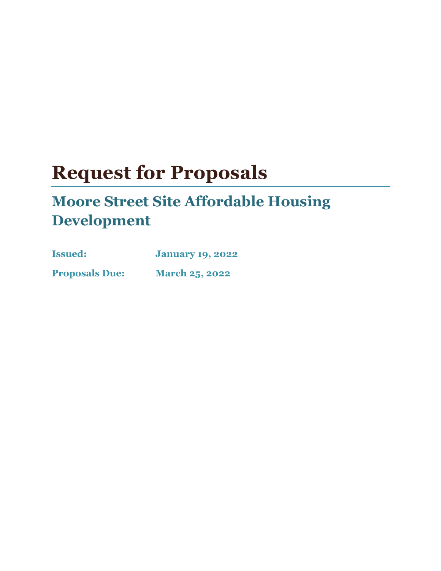# **Request for Proposals**

# **Moore Street Site Affordable Housing Development**

| <b>Issued:</b>        | <b>January 19, 2022</b> |
|-----------------------|-------------------------|
| <b>Proposals Due:</b> | <b>March 25, 2022</b>   |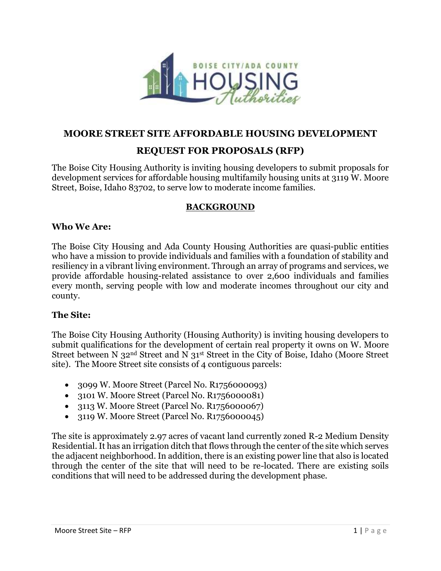

#### **MOORE STREET SITE AFFORDABLE HOUSING DEVELOPMENT**

# **REQUEST FOR PROPOSALS (RFP)**

The Boise City Housing Authority is inviting housing developers to submit proposals for development services for affordable housing multifamily housing units at 3119 W. Moore Street, Boise, Idaho 83702, to serve low to moderate income families.

#### **BACKGROUND**

#### **Who We Are:**

The Boise City Housing and Ada County Housing Authorities are quasi-public entities who have a mission to provide individuals and families with a foundation of stability and resiliency in a vibrant living environment. Through an array of programs and services, we provide affordable housing-related assistance to over 2,600 individuals and families every month, serving people with low and moderate incomes throughout our city and county.

#### **The Site:**

The Boise City Housing Authority (Housing Authority) is inviting housing developers to submit qualifications for the development of certain real property it owns on W. Moore Street between N 32nd Street and N 31st Street in the City of Boise, Idaho (Moore Street site). The Moore Street site consists of 4 contiguous parcels:

- 3099 W. Moore Street (Parcel No. R1756000093)
- 3101 W. Moore Street (Parcel No. R1756000081)
- 3113 W. Moore Street (Parcel No. R1756000067)
- 3119 W. Moore Street (Parcel No. R1756000045)

The site is approximately 2.97 acres of vacant land currently zoned R-2 Medium Density Residential. It has an irrigation ditch that flows through the center of the site which serves the adjacent neighborhood. In addition, there is an existing power line that also is located through the center of the site that will need to be re-located. There are existing soils conditions that will need to be addressed during the development phase.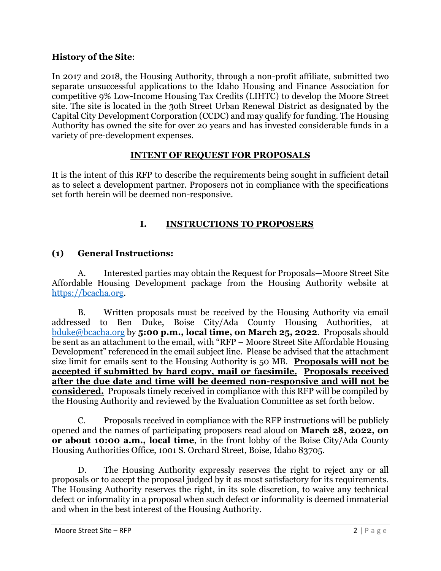#### **History of the Site**:

In 2017 and 2018, the Housing Authority, through a non-profit affiliate, submitted two separate unsuccessful applications to the Idaho Housing and Finance Association for competitive 9% Low-Income Housing Tax Credits (LIHTC) to develop the Moore Street site. The site is located in the 3oth Street Urban Renewal District as designated by the Capital City Development Corporation (CCDC) and may qualify for funding. The Housing Authority has owned the site for over 20 years and has invested considerable funds in a variety of pre-development expenses.

#### **INTENT OF REQUEST FOR PROPOSALS**

It is the intent of this RFP to describe the requirements being sought in sufficient detail as to select a development partner. Proposers not in compliance with the specifications set forth herein will be deemed non-responsive.

## **I. INSTRUCTIONS TO PROPOSERS**

#### **(1) General Instructions:**

A. Interested parties may obtain the Request for Proposals—Moore Street Site Affordable Housing Development package from the Housing Authority website at [https://bcacha.org.](https://bcacha.org/)

B. Written proposals must be received by the Housing Authority via email addressed to Ben Duke, Boise City/Ada County Housing Authorities, at [bduke@bcacha.org](mailto:bduke@bcacha.org) by **5:00 p.m., local time, on March 25, 2022**. Proposals should be sent as an attachment to the email, with "RFP – Moore Street Site Affordable Housing Development" referenced in the email subject line. Please be advised that the attachment size limit for emails sent to the Housing Authority is 50 MB. **Proposals will not be accepted if submitted by hard copy, mail or facsimile. Proposals received after the due date and time will be deemed non-responsive and will not be considered.** Proposals timely received in compliance with this RFP will be compiled by the Housing Authority and reviewed by the Evaluation Committee as set forth below.

C. Proposals received in compliance with the RFP instructions will be publicly opened and the names of participating proposers read aloud on **March 28, 2022, on or about 10:00 a.m., local time**, in the front lobby of the Boise City/Ada County Housing Authorities Office, 1001 S. Orchard Street, Boise, Idaho 83705.

D. The Housing Authority expressly reserves the right to reject any or all proposals or to accept the proposal judged by it as most satisfactory for its requirements. The Housing Authority reserves the right, in its sole discretion, to waive any technical defect or informality in a proposal when such defect or informality is deemed immaterial and when in the best interest of the Housing Authority.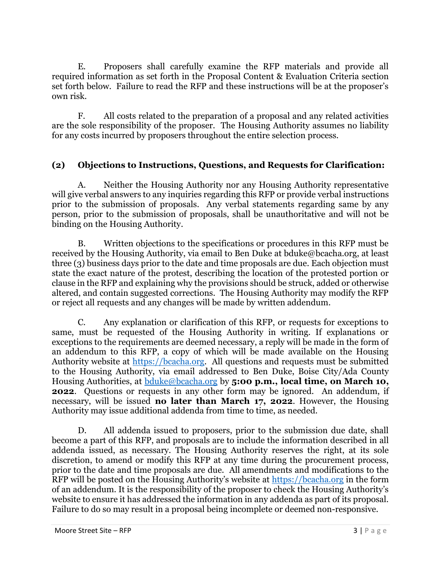E. Proposers shall carefully examine the RFP materials and provide all required information as set forth in the Proposal Content & Evaluation Criteria section set forth below. Failure to read the RFP and these instructions will be at the proposer's own risk.

F. All costs related to the preparation of a proposal and any related activities are the sole responsibility of the proposer. The Housing Authority assumes no liability for any costs incurred by proposers throughout the entire selection process.

## **(2) Objections to Instructions, Questions, and Requests for Clarification:**

A. Neither the Housing Authority nor any Housing Authority representative will give verbal answers to any inquiries regarding this RFP or provide verbal instructions prior to the submission of proposals. Any verbal statements regarding same by any person, prior to the submission of proposals, shall be unauthoritative and will not be binding on the Housing Authority.

B. Written objections to the specifications or procedures in this RFP must be received by the Housing Authority, via email to Ben Duke at bduke@bcacha.org, at least three (3) business days prior to the date and time proposals are due. Each objection must state the exact nature of the protest, describing the location of the protested portion or clause in the RFP and explaining why the provisions should be struck, added or otherwise altered, and contain suggested corrections. The Housing Authority may modify the RFP or reject all requests and any changes will be made by written addendum.

C. Any explanation or clarification of this RFP, or requests for exceptions to same, must be requested of the Housing Authority in writing. If explanations or exceptions to the requirements are deemed necessary, a reply will be made in the form of an addendum to this RFP, a copy of which will be made available on the Housing Authority website at [https://bcacha.org.](https://bcacha.org/) All questions and requests must be submitted to the Housing Authority, via email addressed to Ben Duke, Boise City/Ada County Housing Authorities, at [bduke@bcacha.org](mailto:bduke@bcacha.org) by **5:00 p.m., local time, on March 10, 2022**. Questions or requests in any other form may be ignored. An addendum, if necessary, will be issued **no later than March 17, 2022**. However, the Housing Authority may issue additional addenda from time to time, as needed.

D. All addenda issued to proposers, prior to the submission due date, shall become a part of this RFP, and proposals are to include the information described in all addenda issued, as necessary. The Housing Authority reserves the right, at its sole discretion, to amend or modify this RFP at any time during the procurement process, prior to the date and time proposals are due. All amendments and modifications to the RFP will be posted on the Housing Authority's website at [https://bcacha.org](https://bcacha.org/) in the form of an addendum. It is the responsibility of the proposer to check the Housing Authority's website to ensure it has addressed the information in any addenda as part of its proposal. Failure to do so may result in a proposal being incomplete or deemed non-responsive.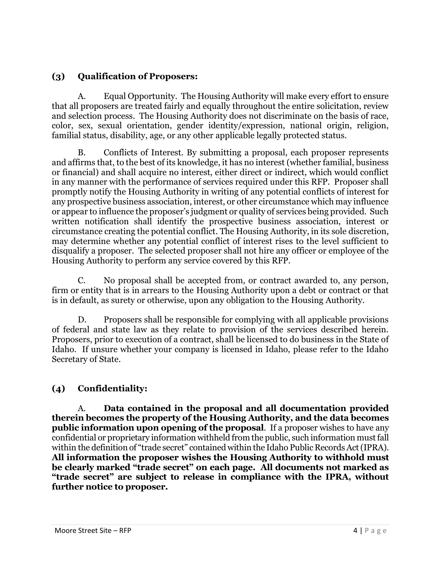# **(3) Qualification of Proposers:**

A. Equal Opportunity. The Housing Authority will make every effort to ensure that all proposers are treated fairly and equally throughout the entire solicitation, review and selection process. The Housing Authority does not discriminate on the basis of race, color, sex, sexual orientation, gender identity/expression, national origin, religion, familial status, disability, age, or any other applicable legally protected status.

B. Conflicts of Interest. By submitting a proposal, each proposer represents and affirms that, to the best of its knowledge, it has no interest (whether familial, business or financial) and shall acquire no interest, either direct or indirect, which would conflict in any manner with the performance of services required under this RFP. Proposer shall promptly notify the Housing Authority in writing of any potential conflicts of interest for any prospective business association, interest, or other circumstance which may influence or appear to influence the proposer's judgment or quality of services being provided. Such written notification shall identify the prospective business association, interest or circumstance creating the potential conflict. The Housing Authority, in its sole discretion, may determine whether any potential conflict of interest rises to the level sufficient to disqualify a proposer. The selected proposer shall not hire any officer or employee of the Housing Authority to perform any service covered by this RFP.

C. No proposal shall be accepted from, or contract awarded to, any person, firm or entity that is in arrears to the Housing Authority upon a debt or contract or that is in default, as surety or otherwise, upon any obligation to the Housing Authority.

D. Proposers shall be responsible for complying with all applicable provisions of federal and state law as they relate to provision of the services described herein. Proposers, prior to execution of a contract, shall be licensed to do business in the State of Idaho. If unsure whether your company is licensed in Idaho, please refer to the Idaho Secretary of State.

# **(4) Confidentiality:**

A. **Data contained in the proposal and all documentation provided therein becomes the property of the Housing Authority, and the data becomes public information upon opening of the proposal.** If a proposer wishes to have any confidential or proprietary information withheld from the public, such information must fall within the definition of "trade secret" contained within the Idaho Public Records Act (IPRA). **All information the proposer wishes the Housing Authority to withhold must be clearly marked "trade secret" on each page. All documents not marked as "trade secret" are subject to release in compliance with the IPRA, without further notice to proposer.**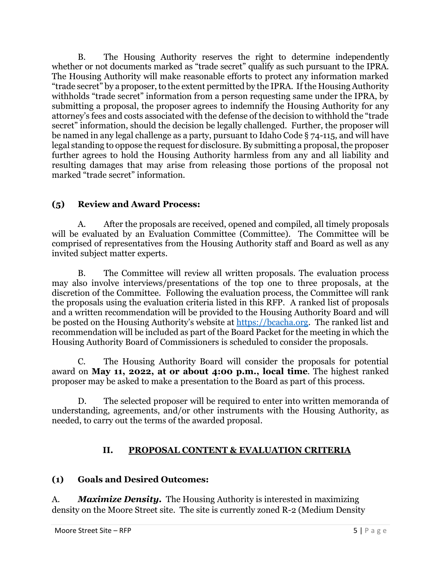B. The Housing Authority reserves the right to determine independently whether or not documents marked as "trade secret" qualify as such pursuant to the IPRA. The Housing Authority will make reasonable efforts to protect any information marked "trade secret" by a proposer, to the extent permitted by the IPRA. If the Housing Authority withholds "trade secret" information from a person requesting same under the IPRA, by submitting a proposal, the proposer agrees to indemnify the Housing Authority for any attorney's fees and costs associated with the defense of the decision to withhold the "trade secret" information, should the decision be legally challenged. Further, the proposer will be named in any legal challenge as a party, pursuant to Idaho Code § 74-115, and will have legal standing to oppose the request for disclosure. By submitting a proposal, the proposer further agrees to hold the Housing Authority harmless from any and all liability and resulting damages that may arise from releasing those portions of the proposal not marked "trade secret" information.

# **(5) Review and Award Process:**

A. After the proposals are received, opened and compiled, all timely proposals will be evaluated by an Evaluation Committee (Committee). The Committee will be comprised of representatives from the Housing Authority staff and Board as well as any invited subject matter experts.

B. The Committee will review all written proposals. The evaluation process may also involve interviews/presentations of the top one to three proposals, at the discretion of the Committee. Following the evaluation process, the Committee will rank the proposals using the evaluation criteria listed in this RFP. A ranked list of proposals and a written recommendation will be provided to the Housing Authority Board and will be posted on the Housing Authority's website at [https://bcacha.org.](https://bcacha.org/) The ranked list and recommendation will be included as part of the Board Packet for the meeting in which the Housing Authority Board of Commissioners is scheduled to consider the proposals.

C. The Housing Authority Board will consider the proposals for potential award on **May 11, 2022, at or about 4:00 p.m., local time**. The highest ranked proposer may be asked to make a presentation to the Board as part of this process.

D. The selected proposer will be required to enter into written memoranda of understanding, agreements, and/or other instruments with the Housing Authority, as needed, to carry out the terms of the awarded proposal.

# **II. PROPOSAL CONTENT & EVALUATION CRITERIA**

# **(1) Goals and Desired Outcomes:**

A. *Maximize Density.* The Housing Authority is interested in maximizing density on the Moore Street site. The site is currently zoned R-2 (Medium Density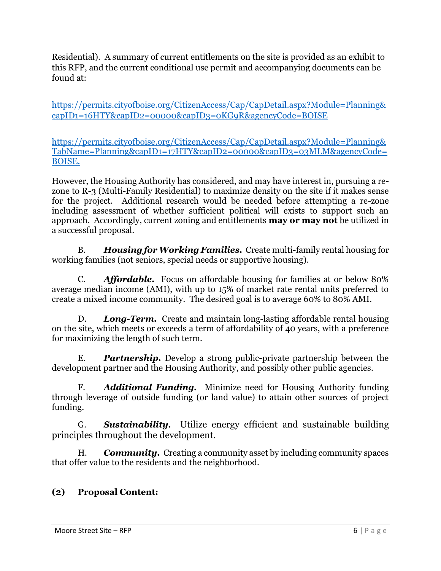Residential). A summary of current entitlements on the site is provided as an exhibit to this RFP, and the current conditional use permit and accompanying documents can be found at:

[https://permits.cityofboise.org/CitizenAccess/Cap/CapDetail.aspx?Module=Planning&](https://permits.cityofboise.org/CitizenAccess/Cap/CapDetail.aspx?Module=Planning&capID1=16HTY&capID2=00000&capID3=0KG9R&agencyCode=BOISE) [capID1=16HTY&capID2=00000&capID3=0KG9R&agencyCode=BOISE](https://permits.cityofboise.org/CitizenAccess/Cap/CapDetail.aspx?Module=Planning&capID1=16HTY&capID2=00000&capID3=0KG9R&agencyCode=BOISE) 

[https://permits.cityofboise.org/CitizenAccess/Cap/CapDetail.aspx?Module=Planning&](https://permits.cityofboise.org/CitizenAccess/Cap/CapDetail.aspx?Module=Planning&TabName=Planning&capID1=17HTY&capID2=00000&capID3=03MLM&agencyCode=BOISE) [TabName=Planning&capID1=17HTY&capID2=00000&capID3=03MLM&agencyCode=](https://permits.cityofboise.org/CitizenAccess/Cap/CapDetail.aspx?Module=Planning&TabName=Planning&capID1=17HTY&capID2=00000&capID3=03MLM&agencyCode=BOISE) [BOISE.](https://permits.cityofboise.org/CitizenAccess/Cap/CapDetail.aspx?Module=Planning&TabName=Planning&capID1=17HTY&capID2=00000&capID3=03MLM&agencyCode=BOISE) 

However, the Housing Authority has considered, and may have interest in, pursuing a rezone to R-3 (Multi-Family Residential) to maximize density on the site if it makes sense for the project. Additional research would be needed before attempting a re-zone including assessment of whether sufficient political will exists to support such an approach. Accordingly, current zoning and entitlements **may or may not** be utilized in a successful proposal.

B. *Housing for Working Families.* Create multi-family rental housing for working families (not seniors, special needs or supportive housing).

C. *Affordable.* Focus on affordable housing for families at or below 80% average median income (AMI), with up to 15% of market rate rental units preferred to create a mixed income community. The desired goal is to average 60% to 80% AMI.

D. *Long-Term.* Create and maintain long-lasting affordable rental housing on the site, which meets or exceeds a term of affordability of 40 years, with a preference for maximizing the length of such term.

E. *Partnership.* Develop a strong public-private partnership between the development partner and the Housing Authority, and possibly other public agencies.

F. *Additional Funding.* Minimize need for Housing Authority funding through leverage of outside funding (or land value) to attain other sources of project funding.

G. *Sustainability.* Utilize energy efficient and sustainable building principles throughout the development.

**Community.** Creating a community asset by including community spaces that offer value to the residents and the neighborhood.

# **(2) Proposal Content:**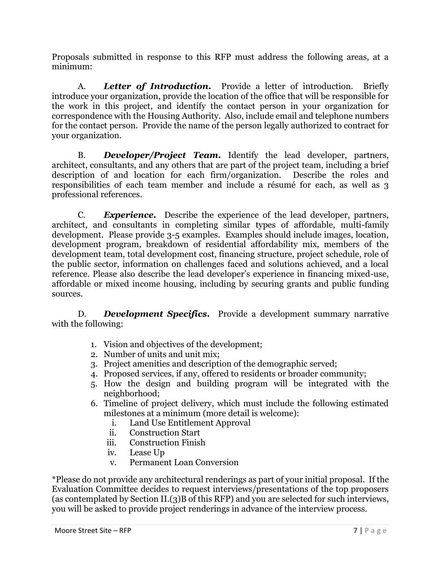Proposals submitted in response to this RFP must address the following areas, at a minimum:

A. *Letter of Introduction.* Provide a letter of introduction. Briefly introduce your organization, provide the location of the office that will be responsible for the work in this project, and identify the contact person in your organization for correspondence with the Housing Authority. Also, include email and telephone numbers for the contact person. Provide the name of the person legally authorized to contract for your organization.

B. *Developer/Project Team.* Identify the lead developer, partners, architect, consultants, and any others that are part of the project team, including a brief description of and location for each firm/organization. Describe the roles and responsibilities of each team member and include a résumé for each, as well as 3 professional references.

C. *Experience.* Describe the experience of the lead developer, partners, architect, and consultants in completing similar types of affordable, multi-family development. Please provide 3-5 examples. Examples should include images, location, development program, breakdown of residential affordability mix, members of the development team, total development cost, financing structure, project schedule, role of the public sector, information on challenges faced and solutions achieved, and a local reference. Please also describe the lead developer's experience in financing mixed-use, affordable or mixed income housing, including by securing grants and public funding sources.

D. *Development Specifics.* Provide a development summary narrative with the following:

- 1. Vision and objectives of the development;
- 2. Number of units and unit mix;
- 3. Project amenities and description of the demographic served;
- 4. Proposed services, if any, offered to residents or broader community;
- 5. How the design and building program will be integrated with the neighborhood;
- 6. Timeline of project delivery, which must include the following estimated milestones at a minimum (more detail is welcome):
	- i. Land Use Entitlement Approval
	- ii. Construction Start
	- iii. Construction Finish
	- iv. Lease Up
	- v. Permanent Loan Conversion

\*Please do not provide any architectural renderings as part of your initial proposal. If the Evaluation Committee decides to request interviews/presentations of the top proposers (as contemplated by Section II.(3)B of this RFP) and you are selected for such interviews, you will be asked to provide project renderings in advance of the interview process.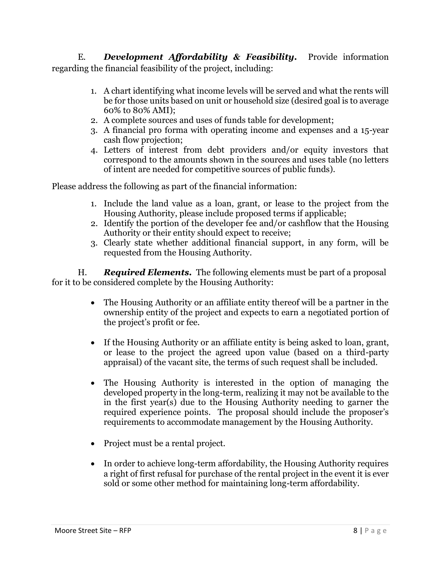E. *Development Affordability & Feasibility.* Provide information regarding the financial feasibility of the project, including:

- 1. A chart identifying what income levels will be served and what the rents will be for those units based on unit or household size (desired goal is to average 60% to 80% AMI);
- 2. A complete sources and uses of funds table for development;
- 3. A financial pro forma with operating income and expenses and a 15-year cash flow projection;
- 4. Letters of interest from debt providers and/or equity investors that correspond to the amounts shown in the sources and uses table (no letters of intent are needed for competitive sources of public funds).

Please address the following as part of the financial information:

- 1. Include the land value as a loan, grant, or lease to the project from the Housing Authority, please include proposed terms if applicable;
- 2. Identify the portion of the developer fee and/or cashflow that the Housing Authority or their entity should expect to receive;
- 3. Clearly state whether additional financial support, in any form, will be requested from the Housing Authority.

H. *Required Elements.* The following elements must be part of a proposal for it to be considered complete by the Housing Authority:

- The Housing Authority or an affiliate entity thereof will be a partner in the ownership entity of the project and expects to earn a negotiated portion of the project's profit or fee.
- If the Housing Authority or an affiliate entity is being asked to loan, grant, or lease to the project the agreed upon value (based on a third-party appraisal) of the vacant site, the terms of such request shall be included.
- The Housing Authority is interested in the option of managing the developed property in the long-term, realizing it may not be available to the in the first year(s) due to the Housing Authority needing to garner the required experience points. The proposal should include the proposer's requirements to accommodate management by the Housing Authority.
- Project must be a rental project.
- In order to achieve long-term affordability, the Housing Authority requires a right of first refusal for purchase of the rental project in the event it is ever sold or some other method for maintaining long-term affordability.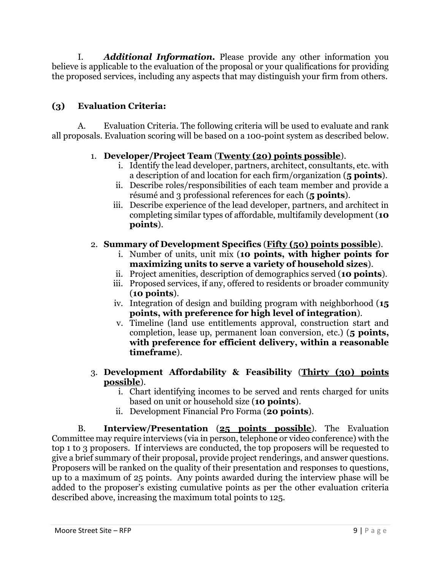I. *Additional Information.* Please provide any other information you believe is applicable to the evaluation of the proposal or your qualifications for providing the proposed services, including any aspects that may distinguish your firm from others.

# **(3) Evaluation Criteria:**

A. Evaluation Criteria. The following criteria will be used to evaluate and rank all proposals. Evaluation scoring will be based on a 100-point system as described below.

## 1. **Developer/Project Team** (**Twenty (20) points possible**).

- i. Identify the lead developer, partners, architect, consultants, etc. with a description of and location for each firm/organization (**5 points**).
- ii. Describe roles/responsibilities of each team member and provide a résumé and 3 professional references for each (**5 points**).
- iii. Describe experience of the lead developer, partners, and architect in completing similar types of affordable, multifamily development (**10 points**).

## 2. **Summary of Development Specifics** (**Fifty (50) points possible**).

- i. Number of units, unit mix (**10 points, with higher points for maximizing units to serve a variety of household sizes**).
- ii. Project amenities, description of demographics served (**10 points**).
- iii. Proposed services, if any, offered to residents or broader community (**10 points**).
- iv. Integration of design and building program with neighborhood (**15 points, with preference for high level of integration**).
- v. Timeline (land use entitlements approval, construction start and completion, lease up, permanent loan conversion, etc.) (**5 points, with preference for efficient delivery, within a reasonable timeframe**).
- 3. **Development Affordability & Feasibility** (**Thirty (30) points possible**).
	- i. Chart identifying incomes to be served and rents charged for units based on unit or household size (**10 points**).
	- ii. Development Financial Pro Forma (**20 points**).

B. **Interview/Presentation** (**25 points possible**). The Evaluation Committee may require interviews (via in person, telephone or video conference) with the top 1 to 3 proposers. If interviews are conducted, the top proposers will be requested to give a brief summary of their proposal, provide project renderings, and answer questions. Proposers will be ranked on the quality of their presentation and responses to questions, up to a maximum of 25 points. Any points awarded during the interview phase will be added to the proposer's existing cumulative points as per the other evaluation criteria described above, increasing the maximum total points to 125.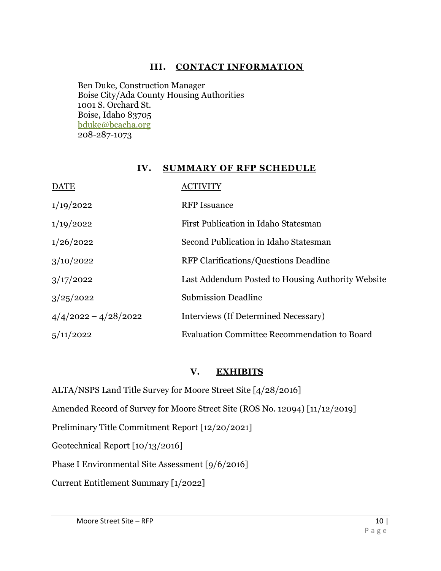## **III. CONTACT INFORMATION**

Ben Duke, Construction Manager Boise City/Ada County Housing Authorities 1001 S. Orchard St. Boise, Idaho 83705 bduke@bcacha.org 208-287-1073

#### **IV. SUMMARY OF RFP SCHEDULE**

| <b>DATE</b>            |                                                     |
|------------------------|-----------------------------------------------------|
| 1/19/2022              | <b>RFP</b> Issuance                                 |
| 1/19/2022              | First Publication in Idaho Statesman                |
| 1/26/2022              | Second Publication in Idaho Statesman               |
| 3/10/2022              | RFP Clarifications/Questions Deadline               |
| 3/17/2022              | Last Addendum Posted to Housing Authority Website   |
| 3/25/2022              | <b>Submission Deadline</b>                          |
| $4/4/2022 - 4/28/2022$ | Interviews (If Determined Necessary)                |
| 5/11/2022              | <b>Evaluation Committee Recommendation to Board</b> |

#### **V. EXHIBITS**

ALTA/NSPS Land Title Survey for Moore Street Site [4/28/2016]

Amended Record of Survey for Moore Street Site (ROS No. 12094) [11/12/2019]

Preliminary Title Commitment Report [12/20/2021]

Geotechnical Report [10/13/2016]

Phase I Environmental Site Assessment [9/6/2016]

Current Entitlement Summary [1/2022]